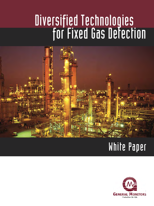# Diversified Technologies for Fixed Gas Detection



# White Paper

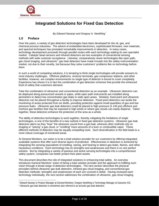

# **Integrated Solutions for Fixed Gas Detection**

*By Edward Naranjo and Gregory A. Neethling[\\*](#page-1-0)*

### **1.0 Preface**

 $\overline{a}$ 

Over the years, a variety of gas detection technologies have been developed for the oil, gas, and chemical process industries. The advent of embedded electronics, sophisticated firmware, new materials, and spectral techniques has prompted remarkable improvements in detection. In many cases, technology development proceeds through parallel routes with each technology staking its own specialist market. Catalytic bead sensors and infrared detectors are two examples of conventional sensing methods with wide customer acceptance. Likewise, comparatively newer technologies like open path, gas cloud imaging, and ultrasonic<sup>[1](#page-1-1)</sup> gas leak detection have made inroads into the safety instrumentation market, not due to their novelty, but because they solve customers' problems like no technology before them.

In such a world of competing solutions, it is tempting to think single technologies will provide answers to most industry challenges. Offshore platforms, onshore terminals, gas compressor stations, and other facilities, however, are complex environments no single type of detector is bound to cover completely. Experience has shown it is in fact the combination of gas detection schemes that provide the enhanced level of safety that customers demand.

Take the combination of ultrasonic and conventional detection as an example. Ultrasonic detectors can be deployed along pressurized vessels or pipes, while open path instruments are installed along perimeters to detect low concentration gas leaks in wide open areas. Similarly, fixed point and ultrasonic detectors can be placed throughout a facility to improve detection. Fixed point detectors can tackle the monitoring of areas protected from air drafts, providing protection against small quantities of gas and low pressure leaks. Ultrasonic gas leak detectors could be placed in high pressure (≥ 145 psi) offshore and onshore gas facilities that may be exposed to high winds or where gas clouds can easily disperse. Taken together, these detectors enhance the protection of the area as a whole.

The ability of detection technologies to work together, thereby mitigating the limitations of single technologies, is one of the benefits of a new outlook in fixed gas detection systems. Ultrasonic gas leak detectors alarm as they "hear" the ultrasonic sound from a gas leak, whereas other methods rely on imaging or "seeing" a gas cloud, or "smelling" trace amounts of a toxic or combustible vapor. These different methods of detection may be equally compelling tools. Such diversification in the field leads to a more robust coverage of monitored areas.

At General Monitors, our vision is to be a total solution provider for our customers by offering integrated, scaleable systems that offer such diverse layers of protection. Effectiveness in detection is achieved by integrating the sensing equivalents of smelling, seeing, and hearing to detect gas leaks, flames, and other hazardous conditions. Each technology has its strengths and weaknesses and there is no one perfect solution. But by integrating a variety of passive and active sensing technologies into a comprehensive safety system, companies can better protect their plant assets.

This document describes the role of integrated solutions in enhancing total safety. An overview introduces General Monitors' vision of being a total solution provider and the approach to fulfilling such vision through a broad range of detection technologies. The next section describes the physical principles behind ultrasonic gas leak detection, infrared gas cloud imaging, and conventional gas detection methods; strengths and weaknesses of each are covered in detail. Having reviewed each technology individually, the next section addresses the combination of ultrasonic, gas cloud imaging,

<sup>\*</sup> Edward Naranjo is Product Manager at General Monitors; Gregory Neethling is Technology Manager at Gassonic A/S.

<span id="page-1-1"></span><span id="page-1-0"></span><sup>1</sup> Ultrasonic gas leak detection is sometimes also referred to as acoustic gas leak detection.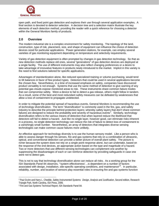

open path, and fixed point gas detection and explores their use through several application examples. A final section is devoted to detector selection. A decision tree and a selection matrix illustrate the key elements of each detection method, providing the reader with a quick reference for choosing a detector within the General Monitors family of products.

## **2.0 Overview**

The modern industrial site is a complex environment for safety monitoring. The topology of the land, construction, type of risk, placement, size, and shape of equipment can influence the choice of detection devices sized for particular applications. Power generation stations, for example, can employ several varieties of gas monitoring equipment depending on temperature and selectivity requirements.

Variety of gas detection equipment is often prompted by changes in gas detection technology. So that as new detection methods replace old ones, several "generations" of gas detection devices are deployed at a single facility. The use of different instruments may also reflect changing preferences or a desire to take advantage of innovative features in products newly introduced to the market. Implicit in this variety is the need to find solutions tailored for specific applications.

Advantages of standardization alone, like reduced specialized training or volume purchasing, would tend to tilt balances in favor of few product types. Detectors that could be used in several applications become the chosen few. Nevertheless, in a time of increased emphasis on safety, companies have discovered product versatility is not enough. Systems that use the same method of detection to give warning of any potential gas clouds expose monitored areas to risk. These instruments share common failure modes that can compromise safety. Were a device to fail to detect a gas release, others might follow in tandem. As a result, some of the best and most redundant safety measures can be defeated by weaknesses that allow a loss of containment to propagate undetected.

In order to mitigate the potential spread of hazardous events, General Monitors is recommending the use of *technology diversification*. The term "diversification" is commonly used in the fire, gas, and safety industry to describe the principle behind protection layers; whereby safety layers that don't share common failures are designed to reduce the probability and severity of hazardous events<sup>[2](#page-2-0)</sup>. Similarly, technology diversification refers to the various means of detection that when layered reduce the likelihood that detectors will fail to detect a hazard. Just like no single layer, however good, can eliminate risks inherent in a process, no single detection technology can reduce the risk of failure to detect loss of containment to a vanishingly small number. Nevertheless, an array of detectors that integrates diverse sensing technologies can make common cause failures more unlikely.

An effective approach for technology diversity is to use the human sensory model. Like a person who is able to assess danger through his senses, fire and gas systems that rely on a combination of ultrasonic, optical, and conventional detection can provide a better picture of overall plant safety. The picture is richer because the system does not rely on a single point response alone, but can undertake, based on the response of the end devices, an appropriate action based on the type and magnitude of a hazard. Two or more detectors that use different sensing technologies can complement one another by suppressing the disadvantages of each or can reinforce detection by providing safeguards in case one were not to detect gas.

This is not to say that technology diversification alone can reduce all risks. As a working group for the ISA Standards Panel 84 observes, "'system effectiveness'…is dependent on a number of factors associated with design, installation, site-specific operating conditions, and maintenance"<sup>[3](#page-2-1)</sup>. In particular, reliability, number, and location of sensors play essential roles in ensuring fire and gas systems function

 $\overline{a}$ 

<span id="page-2-0"></span><sup>2</sup> Paul Gruhn and Harry L. Cheddie, *Safety Instrumented Systems: Design, Analysis and Justification*, Second edition, Research Triangle Park, North Carolina, ISA Press, 2006.

<span id="page-2-1"></span><sup>3</sup> Fire and Gas Systems Technical Report, ISA Standards Panel 84.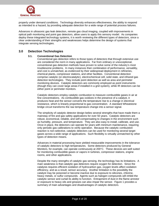

properly under demand conditions. Technology diversity enhances effectiveness, the ability to respond as intended to a hazard, by providing adequate detection for a wide range of potential process failures.

Advances in ultrasonic gas leak detection, remote gas cloud imaging, coupled with improvements in optical path monitoring and point gas detectors, allow users to apply this sensory model. As companies deploy these integrated technology systems, it is worth reviewing the different types of detectors, since a clear understanding of their strengths and weaknesses helps determine the design of systems that integrate sensing technologies.

#### **3.0 Detection Technologies**

#### **3.1. Conventional Gas Detection**

Conventional gas detection refers to those types of detectors that through extensive use are considered the norm in many applications. Far from ordinary or unexceptional, conventional gas detection methods have proven to solve some of the industry's most troublesome problems. In many instances their combination of performance, versatility, and cost is unmatched, as evidenced by their widespread deployment in refineries, chemical plants, compressor stations, and other facilities. Conventional detection comprise catalytic (or electrocatalytic), electrochemical cell, solid state, and infrared gas detection technologies. They include point detection as well as area and perimeter monitoring devices. Catalytic detectors are commonly employed as point instruments (though they can cover large areas if installed in a grid system), while IR detectors can be either point or perimeter monitors.

Catalytic detectors employ catalytic combustion to measure combustible gases in air at fine concentrations. As combustible gas oxidizes in the presence of a catalyst, it produces heat and the sensor converts the temperature rise to a change in electrical resistance, which is linearly proportional to gas concentration. A standard Wheatstone bridge circuit transforms the raw temperature change into a sensor signal.

The simplicity of catalytic detector design belies several strengths that have made them a mainstay of fire and gas safety applications for over 50 years. Catalytic detectors are robust, economical, reliable, and self-compensating to changes in the environment such as humidity, pressure, and temperature. They are also easy to install, calibrate, and use. Once in place, the detectors can operate for years with minimum maintenance, requiring only periodic gas calibrations to verify operation. Because the catalytic combustion reaction is non-selective, catalytic detectors can be used for monitoring several target gases across a wide range of applications. Such flexibility is virtually unmatched by other types of detection means.

Advances in material processing have yielded measurable improvements in the tolerance of catalytic detectors to high temperatures. Some detectors produced by General Monitors, for example, can operate continuously at 200°C. These devices are well suited for monitoring combustible gases or vapors in turbines, compressor stations, engine rooms, and other applications.

Despite the many strengths of catalytic gas sensing, the technology has its limitations. A main weakness is that catalytic gas detectors require oxygen for detection. Since the catalysis requires efficient oxidation of hydrocarbon gas, oxygen levels affect oxidation efficiency, and as a result, sensor accuracy. Another limitation is the possibility the catalyst may be poisoned or become inactive due to exposure to silicones, chlorine, heavy metals, or sulfur compounds. Agents such as halogen compounds will inhibit the catalytic sensor and curtail its ability to function. Entrapment of dust in the flame arrestor or exposure to heavy oils and greases can also impair the sensor. [Figure 1](#page-4-0) provides a summary of main advantages and disadvantages of catalytic detectors.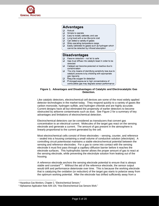<span id="page-4-1"></span>

# **Advantages**

 $\Box$ Robust

- $\Box$ Simple to operate
- $\Box$ Easy to install, calibrate, and use
- $\Box$ Long lived with a low life-cycle cost
- $\Box$  Can detect a variety of gases
- $\Box$  Wide operating temperature range  $\Box$
- Easily calibrated to gases such as hydrogen which cannot be detected by infrared absorption

# **Disadvantages**

- $\Box$ Passive detection - not fail to safe
- $\Box$ Gas must diffuse into catalytic bead in order to be detected
- $\Box$  Catalyst can become poisoned or inactive due to contamination
- $\Box$  The only means of identifying sensitivity loss due to catalytic poisons is by checking with appropriate gas regularly
- $\Box$ Requires oxygen for detection
- $\Box$ Prolonged exposure to high concentrations of combustible gas may degrade sensor performance

#### **Figure 1. Advantages and Disadvantages of Catalytic and Electrocatalytic Gas Detection.**

<span id="page-4-0"></span>Like catalytic detectors, electrochemical cell devices are some of the most widely applied detector technologies in the market today. They respond quickly to a variety of gases like carbon monoxide, hydrogen sulfide, and hydrogen chloride and are highly accurate. Current designs have all but eliminated the propensity of earlier detectors to become obstructed by airborne contaminants such as dust. See [Figure 2](#page-5-0) for a summary of key advantages and limitations of electrochemical detection.

Electrochemical detectors can be considered as transducers that convert gas concentration to an electrical current. Molecules of the target gas react on the sensing electrode and generate a current. The amount of gas present in the atmosphere is linearly proportional to the current generated by the cell.

Most electrochemical cells consist of three electrodes – sensing, counter, and reference – sealed into a housing containing a small volume of conductive solution (electrolyte). A controlling circuit potentiostat maintains a stable electrochemical potential between the sensing and reference electrodes. For a gas to come into contact with the sensing electrode it must first pass through a capillary diffusion barrier before it reaches the electrode surfaces. This hydrophobic barrier allows the proper amount of gas to react at the sensing electrode, while preventing the electrolyte solution from leaking out of the housing.

A reference electrode anchors the sensing electrode potential to ensure that is always stable and constant<sup>[4](#page-4-1),[5](#page-4-1)</sup>. Without the aid of the reference electrode, the sensor output would drift and performance deteriorate over time. This is because the working electrode that is catalyzing the oxidation (or reduction) of the target gas starts to polarize away from the optimum working potential. After the electrode has drifted sufficiently away from a

1

<sup>4</sup> Hazardous Gas Monitors, Chapter 2, "Electrochemical Sensors."

<sup>5</sup> Alphasense Application Note AAN 104, "How Electrochemical Gas Sensors Work."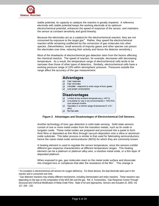<span id="page-5-1"></span>

-

stable potential, its capacity to catalyze the reaction is greatly impaired. A reference electrode with stable potential keeps the working electrode at its optimum electrochemical potential, enhances the speed of response of the sensor, and maintains the sensor at constant sensitivity and good linearity.

Because the electrodes act as a catalyst for the electrochemical reaction, they are not consumed by exposure to the target gas $6$ . Rather, they speed the electrochemical reaction while remaining unaffected by the conversion of gas molecules into other species. (Nevertheless, small amounts of impurity gases and other species can poison the electrodes over time, reducing their activity and hence the detector sensitivity.)

Most of the drawbacks of electrochemical gas detection stem from the factors affecting the chemical reaction. The speed of reaction, for example, decreases with decreasing temperature. As a result, the temperature range of electrochemical cells tends to be narrower than those of other types of detectors. Similarly, electrochemical cells have a working pressure range of 10% within atmospheric pressure. Pressures outside this range affect the accuracy of the gas measurement.

|                      | <b>Advantages</b>                                                        |  |  |  |  |  |  |  |  |
|----------------------|--------------------------------------------------------------------------|--|--|--|--|--|--|--|--|
|                      | Fast response                                                            |  |  |  |  |  |  |  |  |
| $\Box$               | High accuracy                                                            |  |  |  |  |  |  |  |  |
| $\Box$               | Versatile - responds to wide range of toxic gases                        |  |  |  |  |  |  |  |  |
|                      | Low power consumption                                                    |  |  |  |  |  |  |  |  |
| <b>Disadvantages</b> |                                                                          |  |  |  |  |  |  |  |  |
|                      | Limited at low ambient temperatures ( $\leq$ -40°C)                      |  |  |  |  |  |  |  |  |
| □                    | Unsuitable for use in dry environments (< 15% RH)<br>over several months |  |  |  |  |  |  |  |  |
|                      | Operates in a narrow range of pressures (1 $\pm$ 0.1<br>atm)             |  |  |  |  |  |  |  |  |
|                      | Not fail safe                                                            |  |  |  |  |  |  |  |  |



<span id="page-5-0"></span>Another technology of toxic gas detection is solid state sensing. Solid state sensors consist of one or more metal oxides from the transition metals, such as tin oxide or tungsten oxide. These metal oxides are prepared and processed into a paste to form thick films or deposited as thin films through vacuum deposition onto a silica or aluminum oxide substrate. This latter process is similar to that used for fabricating semiconductors; hence the name metal oxide semiconductor (MOS) for which they are commonly known.

A heating element is used to regulate the sensor temperature, since the sensors exhibit different gas response characteristics at different temperature ranges. This heating element can be a platinum or platinum alloy wire, a resistive metal oxide, or a thin layer of deposited platinum.

When exposed to gas, gas molecules react on the metal oxide surface and dissociate into charged ions or complexes that alter the resistance of the film<sup>[7](#page-5-1)</sup>. This change is

<sup>6</sup> An exception is electrochemical cell sensors for oxygen deficiency. For these devices, the lead electrode takes part in the reaction and is consumed over time.

<sup>7</sup> Gas detection reactions may employ different mechanisms, including chemisorption and redox reactions. These reactions vary depending on the type on the composition of the MOS film and the gas. Ref. G. Korotcenkov, "Gas Response Control Through Structural and Chemical Modification of Metal Oxide Films: State of Art and Approaches, *Sensors and Actuators B,* 2005, Vol. 107, 209 – 232.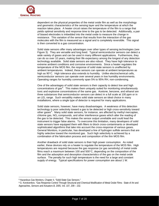<span id="page-6-0"></span>

dependent on the physical properties of the metal oxide film as well as the morphology and geometric characteristics of the sensing layer and the temperature at which the reaction takes place. A heater circuit raises the temperature of the film to a range that yields optimal sensitivity and response time to the gas to be detected. Additionally, a pair of biased electrodes is imbedded into the metal oxide to measure the change in resistance. This variation of the sensor that results from the interaction of the gas molecules with the film is measured as a signal and is completely reversible. This signal is then converted to a gas concentration.

Solid state sensors offer many advantages over other types of sensing technologies (see [Figure 3\)](#page-7-0). They are versatile and long lived. Typical semiconductor sensors can detect a wide variety of gases and can be used in many different applications. Furthermore, they can do so over 10 years, making their life expectancy among the longest of any detection technology available. Solid state sensors are also robust. They have high tolerance to extreme ambient conditions and corrosive environments. Since a heater regulates the temperature of the MOS film, the response of solid state sensors is unaffected by ambient temperatures. Indeed, these sensors can operate at ambient temperatures as high as 90°C. High tolerance also extends to humidity. Unlike electrochemical cells, semiconductor sensors can operate over several years in low humidity environments. Operating ranges for humidity commonly span 5% to 95% RH, non-condensing.

One of the advantages of solid state sensors is their capacity to detect low and high  $concentrations of  $gas^8$ . This makes them uniquely suited for monitoring simultaneously$  $concentrations of  $gas^8$ . This makes them uniquely suited for monitoring simultaneously$  $concentrations of  $gas^8$ . This makes them uniquely suited for monitoring simultaneously$ toxic and explosive concentrations of the same gas. Acetone, benzene, and ethanol are three substances that semiconductor sensors can detect in a full scale at 100 ppm or in an LEL range. Such versatility makes solid state sensors an ideal choice in many installations, where a single type of detector is required for many applications.

Solid state sensors, however, have many disadvantages. A weakness of this detection technology is poor selectivity toward a gas to be detected or high cross-sensitivity toward other gases<sup>[9](#page-6-0)</sup>. Many solid state sensors, for instance, are affected by methyl mercaptan, chlorine gas, NO*x* compounds, and other interference gases which alter the reading of the gas to be detected. This makes the sensor output unreliable and could lead the instrument to trigger false alarms. To overcome this limitation, many developers of solid state sensors have equipped them with filters to block cross-contaminants or developed sophisticated algorithms that take into account the cross-response of various gases. General Monitors, in particular, has developed a line of hydrogen sulfide sensors that are highly selective toward the monitored gas. Such high selectivity is achieved by a combination of the fabrication process and composition of the thin MOS film.

Another drawback of solid state sensors is their high power consumption. As noted earlier, these devices rely on a heater to regulate the temperature of the MOS film. High temperatures are required because the gas response (or gas sensitivity) of metal oxide films reach a maximum between 100 and 500°C, depending on the composition of the film and the adsorption and desorption characteristics of the gas on the metal oxide surface. The penalty for such high temperature is the need for a large and constant supply of energy. Typical specifications for power consumption are about 1 W.

 $\overline{a}$ 

<sup>8</sup> Hazardous Gas Monitors, Chapter 4, "Solid-State Gas Sensors."

<sup>9</sup> G. Korotcenkov, "Gas Response Control Through Structural and Chemical Modification of Metal Oxide Films: State of Art and Approaches, *Sensors and Actuators B,* 2005, Vol. 107, 209 – 232.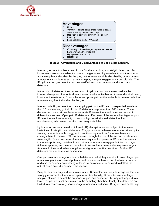



**Figure 3. Advantages and Disadvantages of Solid State Sensors.** 

<span id="page-7-0"></span>Infrared gas detectors have been in use for almost as long as catalytic detectors. Such instruments use two wavelengths, one at the gas absorbing wavelength and the other at a wavelength not absorbed by the gas; neither wavelength is absorbed by other common atmospheric constituents such as water vapor, nitrogen, oxygen, or carbon dioxide. The IR hydrocarbon gas detector can be classified into point detectors and open path detectors.

In the point IR detector, the concentration of hydrocarbon gas is measured via the infrared absorption of an optical beam known as the active beam. A second optical beam, known as the reference, follows the same optical path as the active but contains radiation at a wavelength not absorbed by the gas.

In open path IR gas detectors, the sampling path of the IR beam is expanded from less than 10 centimeters, typical of point IR detectors, to greater than 100 meters. These devices can use a retro-reflector or separate IR transmitters and receivers housed in different enclosures. Open path IR detectors offer many of the same advantages of point IR detectors such as immunity to poisons, high sensitivity leak detection, low maintenance, fail-to-safe operation, and easy installation.

Hydrocarbon sensors based on infrared (IR) absorption are not subject to the same limitations of catalytic bead detectors. They provide for fail-to-safe operation since optical sensing is an active technology, which continuously monitors for sensor faults and conveys them to the user. This is achieved through the use of the second or reference wavelength. Since no chemical reaction is required for operation, IR detectors are also immune to poisoning, resistant to corrosion, can operate in oxygen deficient or oxygen rich atmospheres, and have no reduction in sensor life from repeated exposure to gas. As a result, they tend to have long lives and greater stability over time. Further, IR detectors require no routine calibration.

One particular advantage of open path detectors is that they are able to cover large open areas, along a line of several potential leak sources such as a row of valves or pumps and also for perimeter monitoring of leaks. A mirror can also be used to deflect the optical beam around a corner to the receiver.

Despite their reliability and low maintenance, IR detectors can only detect gases that are strongly absorbent in the infrared spectrum. Additionally, IR detectors require large sample volumes to detect the presence of gas, and consequently, may not respond to a leak if the gas does not accumulate in the sampling chamber. Finally, the detectors are limited to a comparatively narrow range of ambient conditions. Dusty environments, high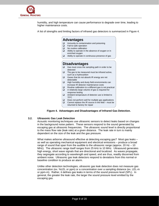

humidity, and high temperature can cause performance to degrade over time, leading to higher maintenance costs.

A list of strengths and limiting factors of infrared gas detectors is summarized in [Figure 4.](#page-8-0)

|        | <b>Advantages</b>                                       |
|--------|---------------------------------------------------------|
| ❏      | Immunity to contamination and poisoning                 |
| $\Box$ | Fail-to-safe operation                                  |
| $\Box$ | No routine calibration                                  |
| $\Box$ | Ability to operate in the absence of oxygen or in       |
|        | enriched oxygen                                         |
| ❏      | Ability to operate in continuous presence of gas        |
|        |                                                         |
|        | <b>Disadvantages</b>                                    |
| ❏      | Gas must cross the sampling path in order to be         |
|        | detected                                                |
| $\Box$ | The gas to be measured must be infrared active,         |
|        | such as a hydrocarbon                                   |
| □      | Gases that do not absorb IR energy are not              |
|        | detectable                                              |
| $\Box$ | High humidity and dusty field environments can          |
|        | increase IR detector maintenance costs                  |
| ❏      | Routine calibration to a different gas is not practical |
| $\Box$ | A relatively large volume of gas is required for        |
|        | response testing                                        |
| $\Box$ | Ambient temperature of detector use is limited to       |
|        | $70^{\circ}$ C                                          |
| ❏      | Does not perform well for multiple gas applications     |
| $\Box$ | Cannot replace the IR source in the field – must be     |
|        | returned to factory for repair                          |
|        |                                                         |

**Figure 4. Advantages and Disadvantages of Infrared Gas Detection.** 

#### <span id="page-8-0"></span>**3.2. Ultrasonic Gas Leak Detection**

Acoustic monitoring techniques use ultrasonic sensors to detect leaks based on changes in the background noise pattern. These sensors respond to the sound generated by escaping gas at ultrasonic frequencies. The ultrasonic sound level is directly proportional to the mass flow rate (leak rate) at a given distance. The leak rate in turn is mainly dependent on the size of the leak and the gas pressure.

What makes airborne ultrasound effective at detecting escaping gas? Most gas leaks – as well as operating mechanical equipment and electrical emissions – produce a broad range of sound that span from the audible to the ultrasonic range (approx. 20 Hz  $-$  10 MHz). The ultrasonic range itself ranges from 25 kHz to 10 MHz. Ultrasound generates high energy, short wave signals that are directional and localized. As waves propagate, they segregate according to wavelength and speed, and are thus, readily discerned from ambient noise. Ultrasonic gas leak detectors respond to deviations from this normal or baseline condition to produce an alarm.

Unlike other detection technologies, ultrasonic gas leak detection does not measure gas concentration (ex. %LEL or ppm) or a concentration over a sampling distance (ex. LEL-m or ppm-m). Rather, it defines gas leaks in terms of the sound pressure level (SPL). In general, the greater the leak rate, the larger the sound pressure level emitted by the escaping gas.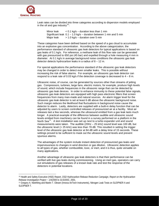<span id="page-9-0"></span>

-

Leak rates can be divided into three categories according to dispersion models employed in the oil and gas industry<sup>[10](#page-9-0)</sup>:

Minor leak  $\lt 0.1$  kg/s – duration less than 1 min Significant leak  $0.1 - 1.0$  kg/s – duration between 1 min and 5 min Major leak  $> 1.0$  kg/s – duration over 5 min

These categories have been defined based on the speed of a gas cloud to accumulate into an explosive gas concentration. According to the above categorization, the performance standard of ultrasonic gas leak detectors for typical applications is based on gas leaks of 0.1 kg/s. For reference, a methane leak of this flow rate can be generated with gas pressurized to 650 psi (45 bar) and expelled through a hole measuring 4 mm in diameter. At 0.1 kg/s in average background noise conditions the ultrasonic gas leak detector detects hydrocarbon leaks in a radius of  $8 - 12$  m.

For special applications the performance standard of the ultrasonic gas leak detectors may be changed in order to detect even smaller leaks. This is possible without increasing the risk of false alarms. For example, an ultrasonic gas leak detector can respond to a leak rate of 0.03 kg/s if the detection coverage is decreased to  $4 - 8$  m.

Ultrasonic noise, of course, can be generated by sources other than streams of jetting gas. Compressors, turbines, large fans, electric motors, for example, produce high levels of sound, which include frequencies in the ultrasonic range that can be detected by ultrasonic gas leak devices. In order to enhance immunity to these potential false signals, ultrasonic gas leak detectors are equipped with high pass electronic filters that screen frequencies from many man-made and natural sources. An alarm trigger level for the ultrasonic gas leak detector is set at least 6 dB above the ultrasonic background noise. Such margin reduces the likelihood that fluctuations in background noise cause the detector to alarm. Lastly, detectors are supplied with a built-in delay function that can be adjusted by users to screen controlled releases of pressurized air at a facility. Most air releases last a few seconds, whereas the ultrasound emitted from a gas leak lasts much longer. A practical example of the difference between audible and ultrasonic sound levels emitted from machinery can be found in a survey performed on a platform in the North Sea<sup>[11](#page-9-0)</sup>. A test installation was set up next to a turbo expander unit and sound measurements were taken. The audible (20Hz – 25 kHz) sound level was 100 dB, but the ultrasonic level (> 25 kHz) was less than 78 dB. This resulted in setting the trigger level of the ultrasonic gas leak detector at 84 dB with a delay time of 15 seconds. These settings proved to be sufficient to mask out the ultrasonic sound levels and prevent spurious alarms.

The advantages of the system include instant detection of pressurized gas leaks and imperviousness to changes in wind direction or gas dilution. Ultrasonic detection applies to all types of gas, whether combustible, toxic, or inert, and it is thus, quite versatile on many applications.

Another advantage of ultrasonic gas leak detectors is that their performance can be verified with live gas leaks during commissioning. Using an inert gas, operators can carry out simulations of gas releases of a known leak rate and test the response of the detectors in potential locations.

<sup>10</sup> Health and Safety Executive (HSE) Report, *OSD Hydrocarbon Release Reduction Campaign, Report on the Hydrocarbon Release Investigation Project ~ 1/4/2000 to 31/3/2001*, 2001.

<sup>11</sup> Gregory A. Neethling and Martin T. Olesen (Innova AirTech Instruments), Nitrogen Leak Tests on SLEIPNER A and SLEIPNER T.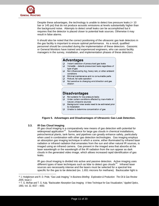<span id="page-10-0"></span>

Despite these advantages, the technology is unable to detect low pressure leaks  $\left($  < 10 bar or 145 psi) that do not produce acoustic emissions at levels substantially higher than the background noise. Attempts to detect small leaks can be accomplished but it requires that the detector is placed closer to potential leak sources. Otherwise it may result in false alarms.

It should also be noted that the correct positioning of the ultrasonic gas leak detectors in the gas facility is important to ensure optimal performance. As a result, qualified personnel should be consulted during the implementation of these detectors. Gassonic or General Monitors have trained and experienced engineers, who can assist facility managers in the survey, installation, and implementation phases of these detectors.

#### **Advantages**

- Instant detection of pressurized gas leaks  $\Box$
- $\Box$  Versatile detects pressurized leaks regardless of type of gas
- $\Box$ Not influenced by fog, heavy rain, or other ambient conditions
- $\Box$ Minimal maintenance and no consumable parts
- $\Box$ Robust, fail safe operation
- $\Box$ Not sensitive to changing wind direction and gas dilution

# **Disadvantages**

- $\Box$ Not suitable for low pressure leaks
- $\Box$ Under certain conditions affected by man-made or natural ultrasonic sources
- $\Box$ Background noise levels need to be estimated prior to installation
- $\Box$ Unable to determine concentration of gas



#### **3.3. IR Gas Cloud Imaging**

 $\overline{a}$ 

IR gas cloud imaging is a comparatively new means of gas detection with potential for widespread application<sup>[12](#page-10-0)</sup>. Surveillance for large gas clouds in chemical installations, petrochemical plants, tank farms, and pipelines can greatly enhance safety, particularly when used in combination with other gas detection technologies. Gas imaging employs an absorption gas imaging technique in which a scene, either illuminated by infrared laser radiation or infrared radiation that emanates from the sun and other natural IR sources, is imaged using an infrared camera. Gas present in the imaged area that absorbs at the laser wavelength or the wavelength of the IR radiation from the sun appear as dark clouds in the generated video image, which allows increased rapid identification of gas leaks.

IR gas cloud imaging is divided into active and passive detection. Active imaging uses different types of laser techniques such as lidar to detect gas clouds<sup>[13](#page-10-0)</sup>. Infrared laser sources are necessarily intense and the lasers must be selected for a spectral line specific for the gas to be detected (ex. 1.651 microns for methane). Backscatter light is

<sup>12</sup> J. Hodgkinson and R. D. Pride, "Gas Leak Imaging," In *Business Briefing: Exploration & Production: The Oil & Gas Review 2005*, Issue 2.

<sup>13</sup> T. G. McRae and T. G. Kulp, "Backscatter Absorption Gas Imaging: A New Technique for Gas Visualization," *Applied Optics*, 1993, Vol. 32, 4037 – 4050.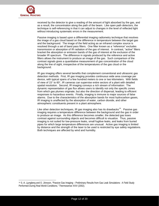<span id="page-11-0"></span>

1

received by the detector to give a reading of the amount of light absorbed by the gas, and as a result, the concentration along the path of the beam. Like open path detectors, the technique is self-referencing in that it can adjust to changes in the level of reflected light without introducing systematic errors in the measurement.

Passive imaging is based upon a differential imaging radiometry technique that resolves the image of a gas cloud based on the difference in temperature between the target gas and the background. The image of the field acting as an infrared complex source is resolved through a set of band pass filters. One filter known as a "reference" excludes transmission or absorption of IR radiation of the gas of interest. In contrast, "active" filters bracket the absorption or emission bands of the gas of interest at the exclusion of the broader IR spectrum. The difference in signals produced by the reference and active filters allows the instrument to produce an image of the gas. Such comparison of the contrast signals gives a quantitative measurement of gas concentration of the cloud along the line of sight, irrespective of the temperatures of the gas cloud or the background.

IR gas imaging offers several benefits that complement conventional and ultrasonic gas detection methods. First, IR gas imaging provides continuous wide area coverage per device, with typical spans of a few hundred meters to one or two kilometers. With fields of view of 15° to 60°, IR cameras can supervise entire sectors of a plant with detailed spatial resolution. Second, IR imaging conveys a rich stream of information: The dynamic representation of gas flux allows users to identify not only the specific zones from which gas plumes originate, but also the direction of dispersal, leading to efficient responses to hazardous events. Finally, imaging is immune to major sources of false alarms. Due to the characteristics of the absorption bands for most hydrocarbon gases, IR imaging is unaffected by the absorption of water, carbon dioxide, and other atmospheric constituents present in a plant atmosphere.

Like other detection techniques, IR gas imaging also has its drawbacks<sup>[14](#page-11-0)</sup>. Passive gas imaging requires a temperature difference between the background and the gas in order to produce an image. As this difference becomes smaller, the detected gas loses contrast against surrounding objects and becomes difficult to visualize. Thus, passive imaging is not suited for low-pressure leaks, small fugitive leaks, and leaks from buried pipes for which large temperature differences are unusual. Active gas imaging is limited by distance and the strength of the laser to be used is restricted by eye safety regulations. Both techniques are affected by wind and humidity.

<sup>14</sup> S.-A. Ljungberg and O. Jönsson, "Passive Gas Imaging – Preliminary Results from Gas Leak Simulations: A Field Study Performed During Real World Conditions," Thermosense XXIV (2002).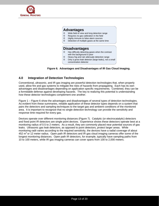

# **Advantages**

- $\oslash$  Wide field of view and long detection range
- **<sup>®</sup>** Requires no gas calibration in the field
- $\circledcirc$  Highly immune to false alarm sources
- **<sup>®</sup>** Detection of multiple gases at the same time

# **Disadvantages**

- Has difficulty detecting gases when the contrast with the background is poor
- Heavy fog and rain attenuate detection range
- $\circledcirc$  Only a gross leak detector (large leaks), not a small
	- concentration detector

**Figure 6. Advantages and Disadvantages of IR Gas Cloud Imaging.** 

# **4.0 Integration of Detection Technologies**

Conventional, ultrasonic, and IR gas imaging are powerful detection technologies that, when properly used, allow fire and gas systems to mitigate the risks of hazards from propagating. Each has its own advantages and disadvantages depending on application specific requirements. Combined, they can be a formidable defense against developing hazards. The key to realizing this potential is understanding how these detector technologies complement one another.

[Figure 1](#page-4-0) – Figure 6 show the advantages and disadvantages of several types of detection technologies. As evident from these summaries, reliable application of these detector types depends on a system that pairs the detectors and sampling techniques to the target gas and ambient conditions of the monitored area. It is important to recognize that no single detection technology can provide the sensitivity and response time required for every gas.

Devices operate over different monitoring distances [\(Figure 7\)](#page-13-0). Catalytic (or electrocatalytic) detectors and fixed point IR detectors are single point devices. Experience shows these detectors operate best at a monitoring radius of 0.5 to 2 meters. As a result, they are commonly placed near potential sources of gas leaks. Ultrasonic gas leak detectors, as opposed to point detectors, protect larger areas. While monitoring radii varies according to the required sensitivity, the devices have a radial coverage of about 452  $\text{m}^2$  or 12 meter radius. Open path IR detectors and IR gas cloud imaging cameras offer some of the longest monitoring distances. Open path IR detectors, for example, typically have sampling paths from 10 to 100 meters, while IR gas imaging cameras can cover spans from 100 to 2,000 meters.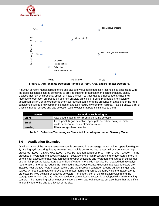





<span id="page-13-0"></span>A human sensory model applied to fire and gas safety suggests detection technologies associated with the classical senses can be combined to provide superior protection than each technology alone. Devices that rely on ultrasonic, optics, or mass transport to trace gas are independent, since their methods of operation are based on different physical principles. Sound propagation, emission or absorption of light, or an exothermic chemical reaction can inform the presence of a gas under the right conditions but share few common elements; and as a result, few common failures. [Table 1](#page-13-1) shows a list of classical human senses and gas detection technologies that bear similarities to them.

| Sense          | <b>Detection Technologies</b>                                                                                    |  |  |  |  |  |  |  |
|----------------|------------------------------------------------------------------------------------------------------------------|--|--|--|--|--|--|--|
| Sight          | Gas cloud imaging, UV/IR enabled flame detection                                                                 |  |  |  |  |  |  |  |
| <b>Smell</b>   | Fixed point IR gas detection, open path detection, catalytic, metal<br>oxide semiconductor, electrochemical cell |  |  |  |  |  |  |  |
| <b>Hearing</b> | Ultrasonic gas leak detection                                                                                    |  |  |  |  |  |  |  |

**Table 1. Detection Technologies Classified According to Human Sensory Model.** 

# <span id="page-13-1"></span>**5.0 Application Examples**

One illustration of the human sensory model is presented in a two-stage hydrocracking operation ([Figure](#page-14-0)  [8\)](#page-14-0). During hydrocracking, heavy aromatic feedstock is converted into lighter hydrocarbons under high pressures (6,900 – 13,700 kPa; 1,000 – 2,000 psi) and temperatures (400 – 816°C; 750 – 1,500°F) in the presence of hydrogen and special catalysts. Because of the high pressures and temperatures, there is potential for exposure to hydrocarbon gas and vapor emissions and hydrogen and hydrogen sulfide gas due to high pressure leaks. Large quantities of carbon monoxide may also be released during catalyst regeneration. In order to reduce the likelihood of hazardous events, ultrasonic gas leak detectors are installed near the two hydrocracker reactors and the hydrogen separator, around pumps, flanges, and valves. An open path detector provides perimeter monitoring across the tank, while the fractionator is protected by fixed point IR or catalytic detectors. For supervision of the distillation column and the storage tank for light end gas mixtures, a wide area monitoring system is developed with an IR imaging camera. The monitoring scheme not only covers known gas leak sources, but also those that are difficult to identify due to the size and layout of the site.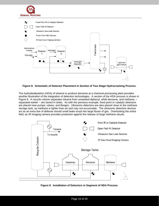



**Figure 8. Schematic of Detector Placement in Section of Two Stage Hydrocracking Process.** 

<span id="page-14-0"></span>The hydrodealkylation (HDA) of toluene to produce benzene at a chemical processing plant provides another illustration of the integration of detection technologies. A section of the HDA process is shown in [Figure 9.](#page-14-1) A recycle column separates toluene from unwanted diphenyl, while benzene, and methane, – separated earlier – are stored in tanks. As with the previous example, fixed point or catalytic detectors are placed near pumps, valves, and flanges. Ultrasonic detectors are also placed close to the methane storage tank, as methane is lighter than air and may not accumulate. The ultrasonic detection devices act as an extra line of defense should small leaks erupt into large fluxes of gas. Overlooking the entire field, an IR imaging camera provides protection against the release of large methane clouds.



<span id="page-14-1"></span>**Figure 9. Installation of Detectors in Segment of HDA Process.**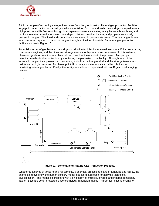

A third example of technology integration comes from the gas industry. Natural gas production facilities engage in the extraction of natural gas, which is obtained from natural wells. Natural gas pumped from a high pressure well is first sent through inlet separators to remove water, heavy hydrocarbons, brine, and particulate matter from the incoming natural gas. Natural gasoline, butane, and propane are usually present in the gas. The liquid and contaminants are stored in condensate tanks. The natural gas is sent to a compressor system to transport the gas through a pipeline. A sketch of a natural gas production facility is shown in [Figure 10](#page-15-0).

Potential sources of gas leaks at natural gas production facilities include wellheads, manifolds, separators, compressor engines, and the pipes and storage vessels for hydrocarbon condensate. In this instance, ultrasonic gas leak detectors are placed close to each of these units in the process. An open path detector provides further protection by monitoring the perimeter of the facility. Although most of the vessels in the plant are pressurized, processing units like the fuel gas skid and the storage tanks are not maintained at high pressure. For these, point IR or catalytic detectors are excellent choices for monitoring natural gas leaks. Finally, the facility as a whole is supervised with an IR gas cloud imaging camera.



**Figure 10. Schematic of Natural Gas Production Process.**

<span id="page-15-0"></span>Whether at a series of tanks near a rail terminal, a chemical processing plant, or a natural gas facility, the examples above show the human sensory model is a useful approach for applying technology diversification. The model is consistent with a philosophy of multiple, diverse, and independent safety layers. Sites are better protected since technology integration makes it harder for initiating events to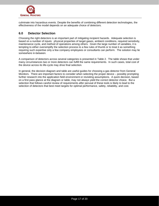

culminate into hazardous events. Despite the benefits of combining different detection technologies, the effectiveness of the model depends on an adequate choice of detectors.

# **6.0 Detector Selection**

Choosing the right detectors is an important part of mitigating incipient hazards. Adequate selection is based on a number of inputs: physical properties of target gases, ambient conditions, required sensitivity, maintenance cycle, and method of operations among others. Given the large number of variables, it is tempting to either oversimplify the selection process to a few rules of thumb or to treat it as something requiring such expertise only a few company employees or consultants can perform. The solution may lie somewhere in-between.

A comparison of detectors across several categories is presented in [Table 2](#page-17-0). The table shows that under many circumstances two or more detectors can fulfill the same requirements. In such cases, total cost of the device across its life-cycle may drive final selection.

In general, the decision diagram and table are useful guides for choosing a gas detector from General Monitors. There are important factors to consider when selecting the proper device – possibly prompting further research into the application field environment or revisiting assumptions. A quick decision, based on a first pass glance at the diagram or table, may not always yield the correct detector choice. But a selection that follows careful review of requirements *after* perusal of these tools is likely to lead to the selection of detectors that best meet targets for optimal performance, safety, reliability, and cost.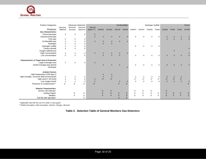

| <b>Product Categories</b>                           | <b>Ultrasonic Detection</b> |                  | <b>Combustibles</b>       |                       |                  |                  |                  | Hydrogen Sulfide |                  |           |               | <b>Toxics</b> |                  |                           |                  |                  |
|-----------------------------------------------------|-----------------------------|------------------|---------------------------|-----------------------|------------------|------------------|------------------|------------------|------------------|-----------|---------------|---------------|------------------|---------------------------|------------------|------------------|
|                                                     | Gassonic                    | Gassonic         | Gassonic                  | Second                |                  |                  |                  |                  |                  |           |               |               |                  |                           |                  |                  |
| Products                                            | MM0100                      | Surveyor         | Observer                  | Sight <sup>®</sup> TC | S4000C           | S4100C           | IR2100           | <b>IR5000</b>    | S4000T           | S4100T    | <b>TS4000</b> | <b>TS400</b>  | <b>TS4000</b>    | <b>TS400</b>              | <b>TS420</b>     | <b>IR7000</b>    |
| <b>Gas Characteristics</b>                          |                             |                  |                           |                       |                  |                  |                  |                  |                  |           |               |               |                  |                           |                  |                  |
| Pressurized gas                                     | X                           | X                | X                         | $\chi$                |                  |                  |                  |                  |                  |           |               |               |                  |                           |                  |                  |
| Unpressurized gas                                   |                             |                  |                           | $\overline{X}$        | $\chi$           | $\chi$           | $\chi$           |                  | $\chi$           | X         | X             | $\times$      | $\boldsymbol{X}$ | $\boldsymbol{\mathsf{X}}$ | X                |                  |
| Toxic gas                                           | Χ                           | X                | X                         |                       |                  |                  |                  |                  |                  |           |               |               | $\pmb{\times}$   | $\chi$                    | $\chi$           |                  |
| Combustible gas                                     | X                           | $\chi$           | X                         | $\chi$                | $\boldsymbol{X}$ | $\chi$           | $\chi$           | X                |                  |           |               |               |                  |                           |                  |                  |
| Hydrogen                                            | X                           | $\pmb{\times}$   | X                         |                       | $\chi$           | $\chi$           |                  |                  |                  |           |               |               |                  |                           |                  |                  |
| Hydrogen sulfide                                    | X                           | X                | X                         |                       |                  |                  |                  |                  | X                | X         | X             | Χ             |                  |                           |                  |                  |
| Carbon dioxide                                      | X                           | $\pmb{\times}$   | X                         |                       |                  |                  |                  |                  |                  |           |               |               |                  |                           |                  |                  |
| Oxygen (deficiency)                                 |                             |                  |                           |                       |                  |                  |                  |                  |                  |           |               |               |                  | $\chi$                    |                  |                  |
| High concentration                                  | X                           | X                | X                         | $\boldsymbol{X}$      | $\chi$           | X                | X                | X                |                  |           |               |               |                  |                           |                  |                  |
| Low concentration                                   | X                           | $\chi$           | $\chi$                    |                       | $\chi$           | $\chi$           | $\chi$           |                  | X                | X         | X             | X             | $\pmb{\times}$   | $\chi$                    | $\chi$           |                  |
| <b>Characteristics of Target Area of Protection</b> |                             |                  |                           |                       |                  |                  |                  |                  |                  |           |               |               |                  |                           |                  |                  |
| Large coverage area                                 | X                           | X                | X                         | $\chi$                |                  |                  |                  |                  |                  |           |               |               |                  |                           |                  |                  |
| Small coverage area (point)                         |                             |                  |                           |                       | $\chi$           | $\chi$           | $\chi$           |                  | X                | X         | $\chi$        | $\times$      | $\chi$           | $\chi$                    | $\boldsymbol{X}$ |                  |
| Perimeter                                           |                             |                  |                           |                       |                  |                  |                  |                  |                  |           |               |               |                  |                           |                  |                  |
| <b>Ambient Factors</b>                              |                             |                  |                           |                       |                  |                  |                  |                  |                  |           |               |               |                  |                           |                  |                  |
| High temperature (200 deg C)                        |                             |                  |                           |                       | X                | X                |                  |                  |                  |           |               |               |                  |                           |                  |                  |
| High humidity, corrosive field environments         | X                           | X                | X                         |                       | $\chi$           | $\boldsymbol{x}$ |                  |                  | X                | X         | X             | X             | $\boldsymbol{X}$ | $\boldsymbol{X}$          | $\boldsymbol{X}$ |                  |
| High wind $(> 50$ km/h)                             | X                           | $\pmb{\times}$   | $\chi$                    | $\chi$                | $X^*$            | $X^\star$        |                  |                  | $X^\star$        | $X^\star$ | $X^\star$     | $X^\star$     | $X^\star$        | $X^\star$                 | $X^\star$        |                  |
| Low oxygen levels                                   | X                           | $\boldsymbol{X}$ | $\boldsymbol{\mathsf{x}}$ | $\chi$                |                  |                  | $\boldsymbol{X}$ | X                | $\chi$           | $\chi$    | $\chi$        | X             | $\chi$           | $\chi$                    | $\boldsymbol{x}$ |                  |
| Presence of contaminants**                          | $\chi$                      | X                | X                         | $\overline{X}$        |                  |                  | $\chi$           |                  |                  |           |               |               |                  |                           |                  | $\frac{x}{x}$    |
| <b>Detector Characteristics</b>                     |                             |                  |                           |                       |                  |                  |                  |                  |                  |           |               |               |                  |                           |                  |                  |
| Sensor Life Indicator                               |                             |                  |                           |                       | X                | X                |                  |                  | X                | Χ         | X             |               | X                |                           |                  |                  |
| Analog Output                                       |                             | X                | X                         |                       | $\boldsymbol{x}$ | $\boldsymbol{X}$ | $\chi$           | $\boldsymbol{X}$ | $\boldsymbol{X}$ | X         | $\chi$        | Χ             | $\chi$           | $\chi$                    | $\boldsymbol{X}$ | $\boldsymbol{X}$ |
| <b>Modbus</b>                                       |                             | $\chi$           | X                         |                       | $\pmb{\times}$   | $\chi$           | $\chi$           | $\chi$           | $\chi$           | $\chi$    | $\chi$        | X             | $\chi$           | $\boldsymbol{X}$          | $\chi$           | $\overline{X}$   |
| Full fail safe operation                            |                             |                  | X                         |                       |                  |                  | $\chi$           | X                |                  |           |               |               |                  |                           |                  |                  |

\* Applicable only with the use of a sinter or dust guard

\*\* Methyl mercaptan, ethyl mercaptan, chlorine, nitrogen, silicones

<span id="page-17-0"></span>**Table 2. Selection Table of General Monitors Gas Detectors**.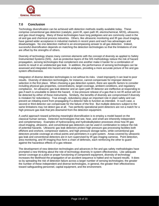

# **7.0 Conclusion**

Technology diversification can be achieved with detection methods readily available today. These comprise conventional gas detection (catalytic, point IR, open path IR, electrochemical, MOS), ultrasonic, and gas cloud imaging. Many of these technologies have long pedigrees and are commonly used in the oil and gas and chemical process industries. Others, like ultrasonic monitoring and IR gas cloud imaging, have gained wider acceptance in industrial markets in recent years and each has advantages and disadvantages. No one detection method is an encompassing answer to all gas detection. Indeed, successful diversification depends on matching the detection technologies so that the limitations of one are offset by the strengths of others.

Diversity of technology shares many common elements with the concept of diversity as applied to Safety Instrumented Systems (SIS). Just as protective layers of the SIS methodology reduce the risk of hazard propagation, sensing technologies that complement one another make it harder for a combination of events to result in an undetected gas leak. In addition, the performance of sensing technologies can be assessed and integrated into hazard and risk analyses, providing a more accurate picture of fire and gas system effectiveness.

Integration of diverse detection technologies is not without its risks. Used improperly it can lead to poor results. Diversity of detection technologies, for instance, cannot compensate for improper detector selection in the first place. When choosing a gas detection system, there are specific factors to consider including physical gas properties, concentrations, target coverage, ambient conditions, and regulatory compliance. An ultrasonic gas leak detector and an open path IR detector are ineffective at responding to gas if each is unsuitable to detect the hazard. A low pressure release of a gas that is not IR active will not be detected by either of these instruments. Similarly, the benefits of diversity are compromised if diversity is mistaken for redundancy. True enough, redundancy plays an important role in plant safety and can prevent an initiating event from propagating if a detector fails to function as intended. In such case, a second or third detector can compensate for the failure of the first. But multiple detectors subject to the same limitations may not detect gas at all. Two perfectly operational point detectors are not a match for a high pressure gas leak that jets downwind from the detection equipment.

A useful approach toward achieving meaningful diversification is to employ a model based on the classical human senses. Detection technologies that see, hear, and smell are inherently independent and complementary. Examples of hydrocracking and hydrodealkylation processes show how IR gas cloud imaging, ultrasonic, and conventional gas detectors can be used in combination to reduce the risk of potential hazards. Ultrasonic gas leak detectors protect high pressure gas processing facilities both offshore and onshore, compressor stations, and high pressure storage tanks, while conventional gas detectors provide coverage at critical points and perimeters in a grid system. Areas covered by ultrasonic gas leak and conventional detectors are in turn supervised by IR gas imaging cameras. Point detection, area monitoring, and IR imaging thus form a chain of defenses, each reinforcing the other to guard against the hazardous effects of a gas release.

The development of new detection technologies and advances in fire and gas safety methodologies have prompted a new thinking about the role of technology diversity in system effectiveness. Like adequate sensor coverage at a plant or proper functioning of component equipment, diversity of technology increases the likelihood the propagation of an accident sequence is halted and no hazard results. It does so by spreading the risk of detection failure across a larger number of sensing technologies; the greater the number of these independent and diverse technologies, in general, the greater their effectiveness toward safeguarding personnel, capital equipment, and the environment.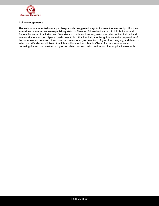

#### **Acknowledgements**

The authors are indebted to many colleagues who suggested ways to improve the manuscript. For their extensive comments, we are especially grateful to Shannon Edwards-Honarvar, Phil Robbibaro, and Angela Sauceda. Frank Gao and Gary Gu also made copious suggestions on electrochemical cell and semiconductor sensors. Special credit goes to Dr. Shankar Baliga for his guidance in the preparation of the document and revision of sections on conventional gas detection, IR gas cloud imaging, and detector selection. We also would like to thank Mads Kornbech and Martin Olesen for their assistance in preparing the section on ultrasonic gas leak detection and their contribution of an application example.